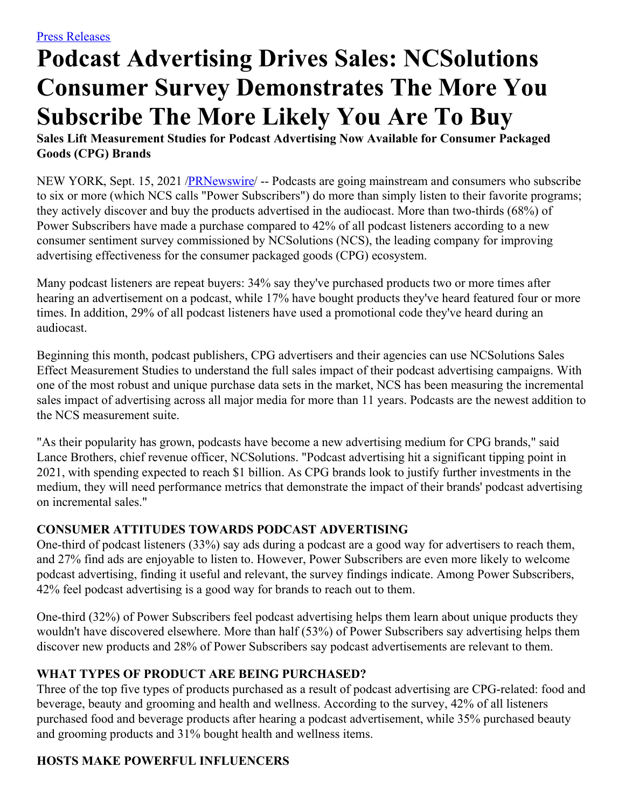# **Podcast Advertising Drives Sales: NCSolutions Consumer Survey Demonstrates The More You Subscribe The More Likely You Are To Buy**

**Sales Lift Measurement Studies for Podcast Advertising Now Available for Consumer Packaged Goods (CPG) Brands**

NEW YORK, Sept. 15, 2021 [/PRNewswire](http://www.prnewswire.com/)/ -- Podcasts are going mainstream and consumers who subscribe to six or more (which NCS calls "Power Subscribers") do more than simply listen to their favorite programs; they actively discover and buy the products advertised in the audiocast. More than two-thirds (68%) of Power Subscribers have made a purchase compared to 42% of all podcast listeners according to a new consumer sentiment survey commissioned by NCSolutions (NCS), the leading company for improving advertising effectiveness for the consumer packaged goods (CPG) ecosystem.

Many podcast listeners are repeat buyers: 34% say they've purchased products two or more times after hearing an advertisement on a podcast, while 17% have bought products they've heard featured four or more times. In addition, 29% of all podcast listeners have used a promotional code they've heard during an audiocast.

Beginning this month, podcast publishers, CPG advertisers and their agencies can use NCSolutions Sales Effect Measurement Studies to understand the full sales impact of their podcast advertising campaigns. With one of the most robust and unique purchase data sets in the market, NCS has been measuring the incremental sales impact of advertising across all major media for more than 11 years. Podcasts are the newest addition to the NCS measurement suite.

"As their popularity has grown, podcasts have become a new advertising medium for CPG brands," said Lance Brothers, chief revenue officer, NCSolutions. "Podcast advertising hit a significant tipping point in 2021, with spending expected to reach \$1 billion. As CPG brands look to justify further investments in the medium, they will need performance metrics that demonstrate the impact of their brands' podcast advertising on incremental sales."

## **CONSUMER ATTITUDES TOWARDS PODCAST ADVERTISING**

One-third of podcast listeners (33%) say ads during a podcast are a good way for advertisers to reach them, and 27% find ads are enjoyable to listen to. However, Power Subscribers are even more likely to welcome podcast advertising, finding it useful and relevant, the survey findings indicate. Among Power Subscribers, 42% feel podcast advertising is a good way for brands to reach out to them.

One-third (32%) of Power Subscribers feel podcast advertising helps them learn about unique products they wouldn't have discovered elsewhere. More than half (53%) of Power Subscribers say advertising helps them discover new products and 28% of Power Subscribers say podcast advertisements are relevant to them.

## **WHAT TYPES OF PRODUCT ARE BEING PURCHASED?**

Three of the top five types of products purchased as a result of podcast advertising are CPG-related: food and beverage, beauty and grooming and health and wellness. According to the survey, 42% of all listeners purchased food and beverage products after hearing a podcast advertisement, while 35% purchased beauty and grooming products and 31% bought health and wellness items.

# **HOSTS MAKE POWERFUL INFLUENCERS**